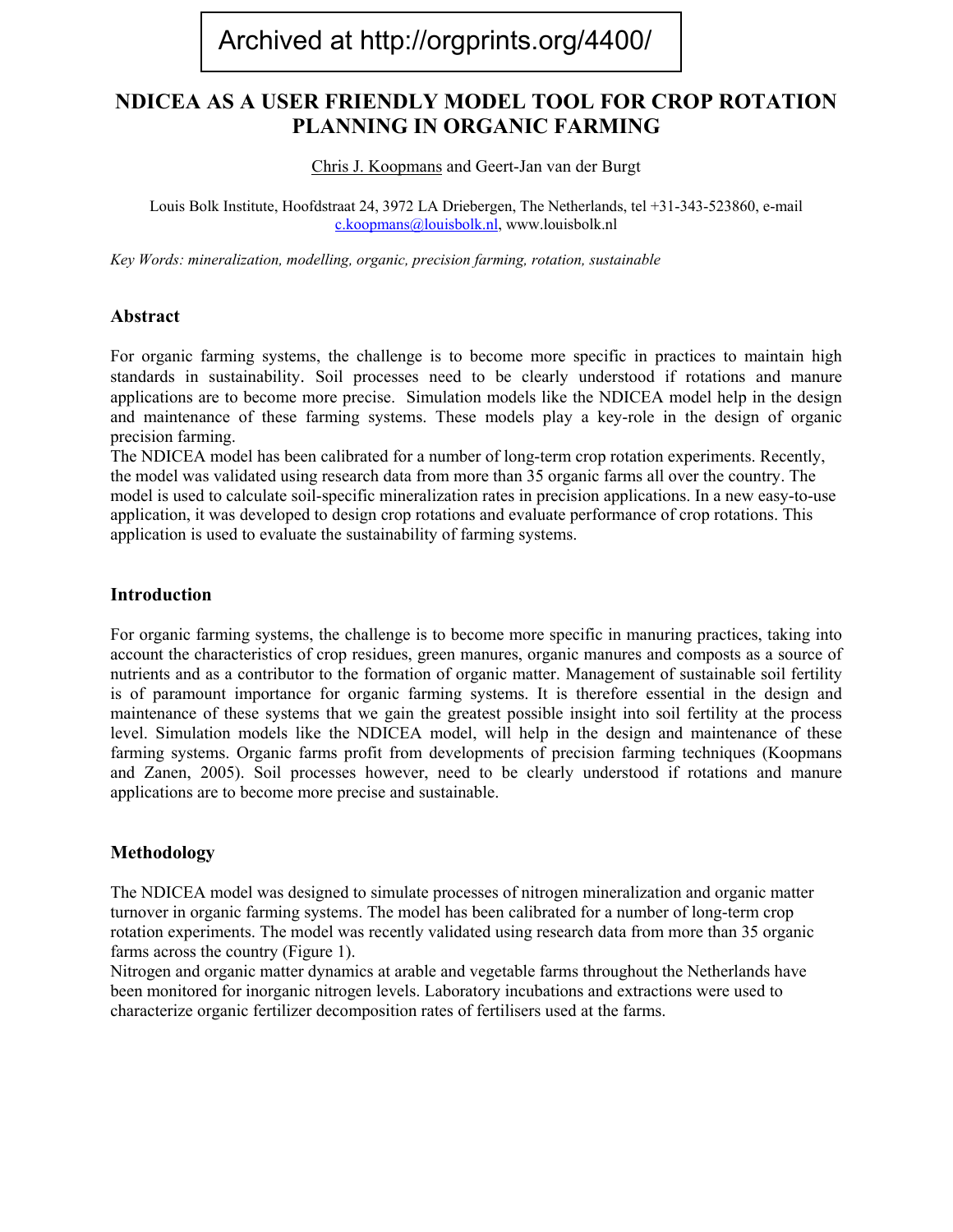# Archived at http://orgprints.org/4400/

## **NDICEA AS A USER FRIENDLY MODEL TOOL FOR CROP ROTATION PLANNING IN ORGANIC FARMING**

Chris J. Koopmans and Geert-Jan van der Burgt

Louis Bolk Institute, Hoofdstraat 24, 3972 LA Driebergen, The Netherlands, tel +31-343-523860, e-mail [c.koopmans@louisbolk.nl](mailto:c.koopmans@louisbolk.nl), www.louisbolk.nl

*Key Words: mineralization, modelling, organic, precision farming, rotation, sustainable* 

### **Abstract**

For organic farming systems, the challenge is to become more specific in practices to maintain high standards in sustainability. Soil processes need to be clearly understood if rotations and manure applications are to become more precise. Simulation models like the NDICEA model help in the design and maintenance of these farming systems. These models play a key-role in the design of organic precision farming.

The NDICEA model has been calibrated for a number of long-term crop rotation experiments. Recently, the model was validated using research data from more than 35 organic farms all over the country. The model is used to calculate soil-specific mineralization rates in precision applications. In a new easy-to-use application, it was developed to design crop rotations and evaluate performance of crop rotations. This application is used to evaluate the sustainability of farming systems.

#### **Introduction**

For organic farming systems, the challenge is to become more specific in manuring practices, taking into account the characteristics of crop residues, green manures, organic manures and composts as a source of nutrients and as a contributor to the formation of organic matter. Management of sustainable soil fertility is of paramount importance for organic farming systems. It is therefore essential in the design and maintenance of these systems that we gain the greatest possible insight into soil fertility at the process level. Simulation models like the NDICEA model, will help in the design and maintenance of these farming systems. Organic farms profit from developments of precision farming techniques (Koopmans and Zanen, 2005). Soil processes however, need to be clearly understood if rotations and manure applications are to become more precise and sustainable.

### **Methodology**

The NDICEA model was designed to simulate processes of nitrogen mineralization and organic matter turnover in organic farming systems. The model has been calibrated for a number of long-term crop rotation experiments. The model was recently validated using research data from more than 35 organic farms across the country (Figure 1).

Nitrogen and organic matter dynamics at arable and vegetable farms throughout the Netherlands have been monitored for inorganic nitrogen levels. Laboratory incubations and extractions were used to characterize organic fertilizer decomposition rates of fertilisers used at the farms.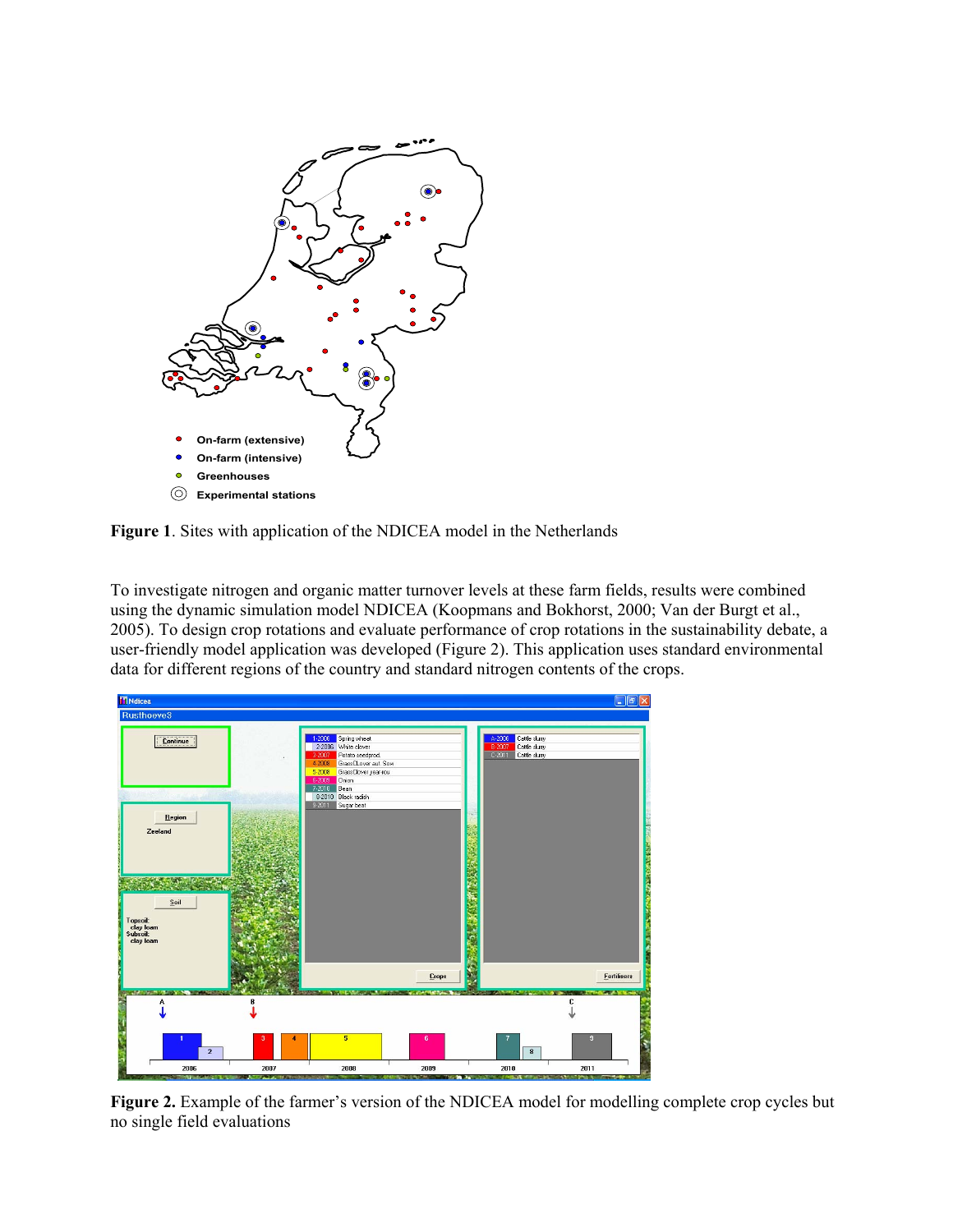

**Figure 1**. Sites with application of the NDICEA model in the Netherlands

To investigate nitrogen and organic matter turnover levels at these farm fields, results were combined using the dynamic simulation model NDICEA (Koopmans and Bokhorst, 2000; Van der Burgt et al., 2005). To design crop rotations and evaluate performance of crop rotations in the sustainability debate, a user-friendly model application was developed (Figure 2). This application uses standard environmental data for different regions of the country and standard nitrogen contents of the crops.



**Figure 2.** Example of the farmer's version of the NDICEA model for modelling complete crop cycles but no single field evaluations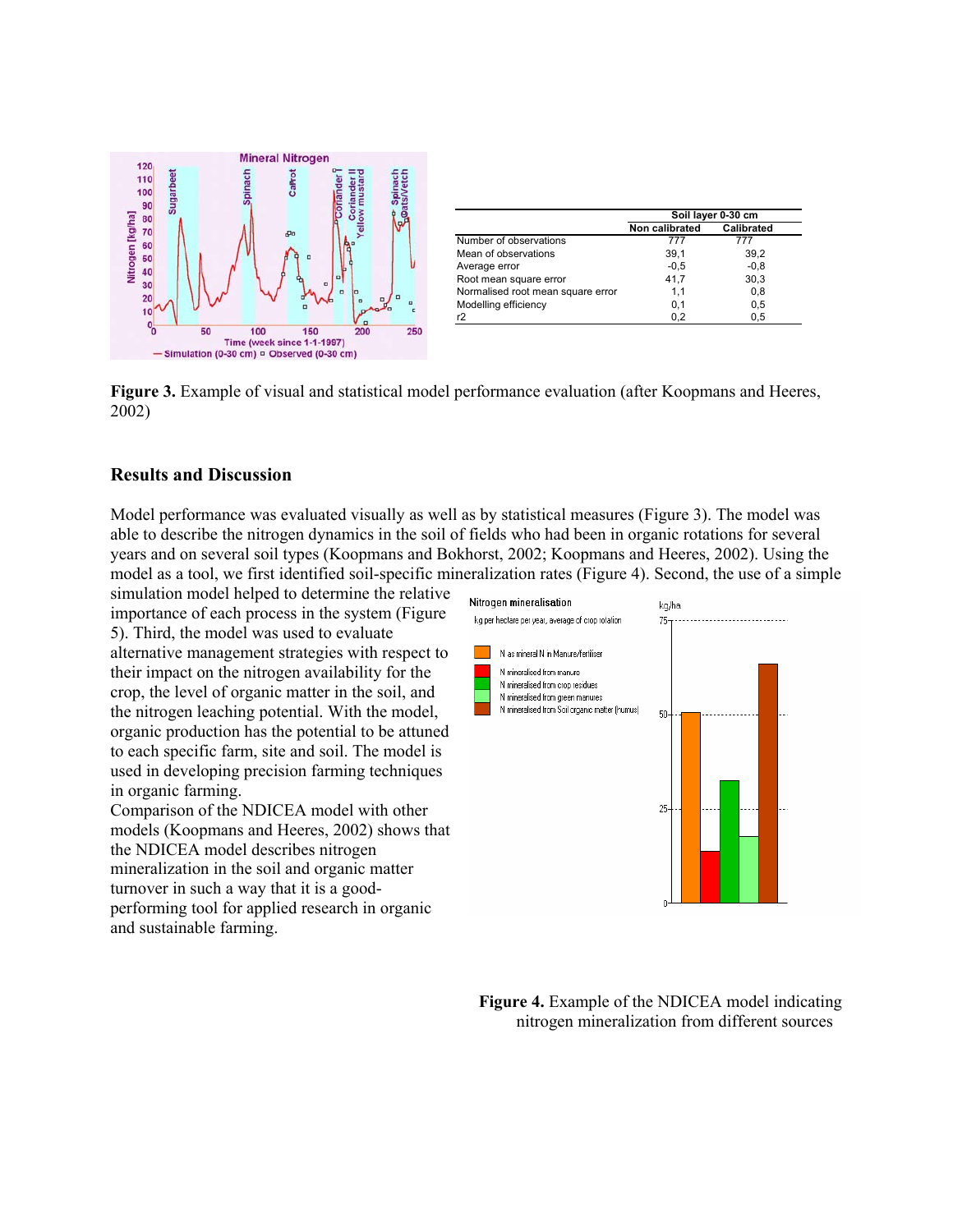

|                                   | Soil layer 0-30 cm |            |
|-----------------------------------|--------------------|------------|
|                                   | Non calibrated     | Calibrated |
| Number of observations            | 777                | 777        |
| Mean of observations              | 39,1               | 39.2       |
| Average error                     | $-0.5$             | $-0.8$     |
| Root mean square error            | 41.7               | 30.3       |
| Normalised root mean square error | 1.1                | 0.8        |
| Modelling efficiency              | 0,1                | 0.5        |
| r2                                | 0.2                | 0.5        |

**Figure 3.** Example of visual and statistical model performance evaluation (after Koopmans and Heeres, 2002)

### **Results and Discussion**

Model performance was evaluated visually as well as by statistical measures (Figure 3). The model was able to describe the nitrogen dynamics in the soil of fields who had been in organic rotations for several years and on several soil types (Koopmans and Bokhorst, 2002; Koopmans and Heeres, 2002). Using the model as a tool, we first identified soil-specific mineralization rates (Figure 4). Second, the use of a simple

simulation model helped to determine the relative importance of each process in the system (Figure 5). Third, the model was used to evaluate alternative management strategies with respect to their impact on the nitrogen availability for the crop, the level of organic matter in the soil, and the nitrogen leaching potential. With the model, organic production has the potential to be attuned to each specific farm, site and soil. The model is used in developing precision farming techniques in organic farming.

Comparison of the NDICEA model with other models (Koopmans and Heeres, 2002) shows that the NDICEA model describes nitrogen mineralization in the soil and organic matter turnover in such a way that it is a goodperforming tool for applied research in organic and sustainable farming.



**Figure 4.** Example of the NDICEA model indicating nitrogen mineralization from different sources